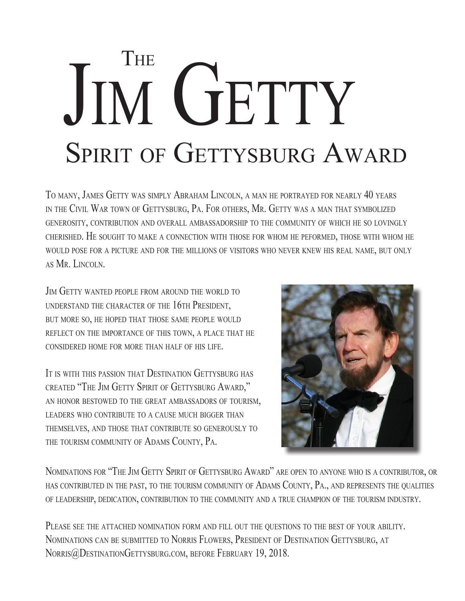## **THE** SPIRIT OF GETTYSBURG AWARD JIM GETTY

To many, James Getty was simply Abraham Lincoln, a man he portrayed for nearly 40 years in the Civil War town of Gettysburg, Pa. For others, Mr. Getty was <sup>a</sup> man that symbolized generosity, contribution and overall ambassadorship to the community of which he so lovingly cherished. He sought to make <sup>a</sup> connection with those for whom he peformed, those with whom he would pose for <sup>a</sup> picture and for the millions of visitors who never knew his real name, but only as Mr. Lincoln.

JIM GETTY WANTED PEOPLE FROM AROUND THE WORLD TO understand the character of the 16th President, but more so, he hoped that those same people would reflect on the importance of this town, a place that he considered home for more than half of his life.

It is with this passion that Destination Gettysburg has created "The Jim Getty Spirit of Gettysburg Award," an honor bestowed to the great ambassadors of tourism, leaders who contribute to <sup>a</sup> cause much bigger than themselves, and those that contribute so generously to the tourism community of Adams County, Pa.



Nominations for "The Jim Getty Spirit of Gettysburg Award" are open to anyone who is <sup>a</sup> contributor, or has contributed in the past, to the tourism community of Adams County, Pa., and represents the qualities of leadership, dedication, contribution to the community and a true champion of the tourism industry.

PLEASE SEE THE ATTACHED NOMINATION FORM AND FILL OUT THE QUESTIONS TO THE BEST OF YOUR ABILITY. NOMINATIONS CAN BE SUBMITTED TO NORRIS FLOWERS, PRESIDENT OF DESTINATION GETTYSBURG, AT Norris@DestinationGettysburg.com, before February 19, 2018.